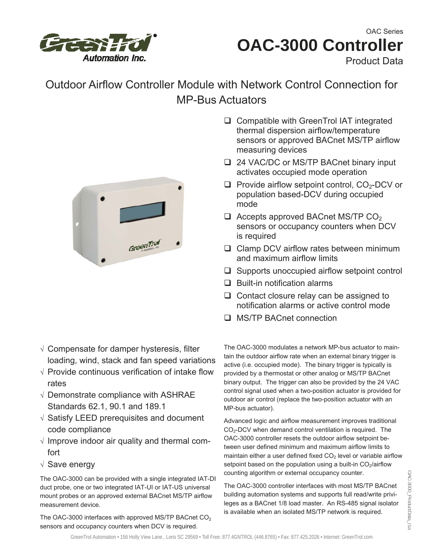

# **OAC-3000 Controller**  OAC Series

Product Data

## Outdoor Airflow Controller Module with Network Control Connection for MP-Bus Actuators



- √ Compensate for damper hysteresis, filter loading, wind, stack and fan speed variations
- √ Provide continuous verification of intake flow rates
- √ Demonstrate compliance with ASHRAE Standards 62.1, 90.1 and 189.1
- √ Satisfy LEED prerequisites and document code compliance
- √ Improve indoor air quality and thermal comfort
- √ Save energy

The OAC-3000 can be provided with a single integrated IAT-DI duct probe, one or two integrated IAT-UI or IAT-US universal mount probes or an approved external BACnet MS/TP airflow measurement device.

The OAC-3000 interfaces with approved MS/TP BACnet  $CO<sub>2</sub>$ sensors and occupancy counters when DCV is required.

- □ Compatible with GreenTrol IAT integrated thermal dispersion airflow/temperature sensors or approved BACnet MS/TP airflow measuring devices
- □ 24 VAC/DC or MS/TP BACnet binary input activates occupied mode operation
- $\Box$  Provide airflow setpoint control, CO<sub>2</sub>-DCV or population based-DCV during occupied mode
- $\Box$  Accepts approved BACnet MS/TP CO<sub>2</sub> sensors or occupancy counters when DCV is required
- $\Box$  Clamp DCV airflow rates between minimum and maximum airflow limits
- $\Box$  Supports unoccupied airflow setpoint control
- $\Box$  Built-in notification alarms
- $\Box$  Contact closure relay can be assigned to notification alarms or active control mode
- □ MS/TP BACnet connection

The OAC-3000 modulates a network MP-bus actuator to maintain the outdoor airflow rate when an external binary trigger is active (i.e. occupied mode). The binary trigger is typically is provided by a thermostat or other analog or MS/TP BACnet binary output. The trigger can also be provided by the 24 VAC control signal used when a two-position actuator is provided for outdoor air control (replace the two-position actuator with an MP-bus actuator).

Advanced logic and airflow measurement improves traditional CO<sub>2</sub>-DCV when demand control ventilation is required. The OAC-3000 controller resets the outdoor airflow setpoint between user defined minimum and maximum airflow limits to maintain either a user defined fixed  $CO<sub>2</sub>$  level or variable airflow setpoint based on the population using a built-in  $CO<sub>2</sub>/airflow$ counting algorithm or external occupancy counter.

The OAC-3000 controller interfaces with most MS/TP BACnet building automation systems and supports full read/write privileges as a BACnet 1/8 load master. An RS-485 signal isolator is available when an isolated MS/TP network is required.